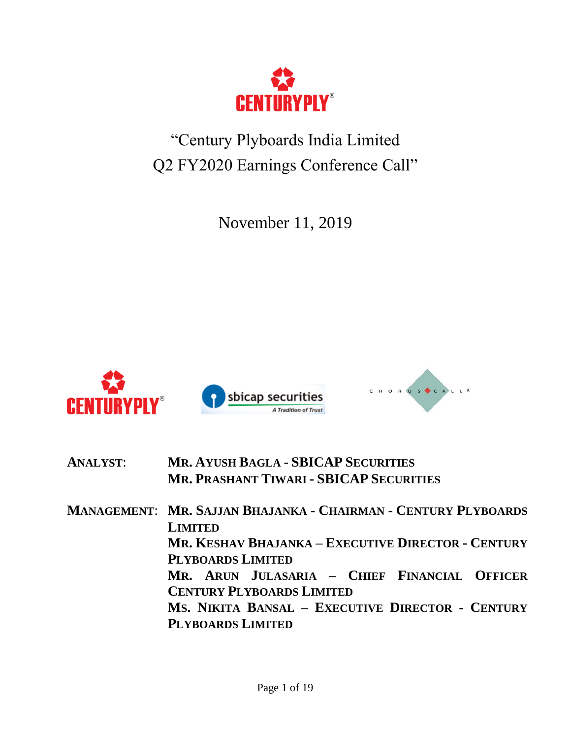

# "Century Plyboards India Limited Q2 FY2020 Earnings Conference Call"

November 11, 2019



| <b>ANALYST:</b> | <b>MR. AYUSH BAGLA - SBICAP SECURITIES</b>     |
|-----------------|------------------------------------------------|
|                 | <b>MR. PRASHANT TIWARI - SBICAP SECURITIES</b> |

**MANAGEMENT**: **MR. SAJJAN BHAJANKA - CHAIRMAN - CENTURY PLYBOARDS LIMITED MR. KESHAV BHAJANKA – EXECUTIVE DIRECTOR - CENTURY PLYBOARDS LIMITED MR. ARUN JULASARIA – CHIEF FINANCIAL OFFICER CENTURY PLYBOARDS LIMITED MS. NIKITA BANSAL – EXECUTIVE DIRECTOR - CENTURY PLYBOARDS LIMITED**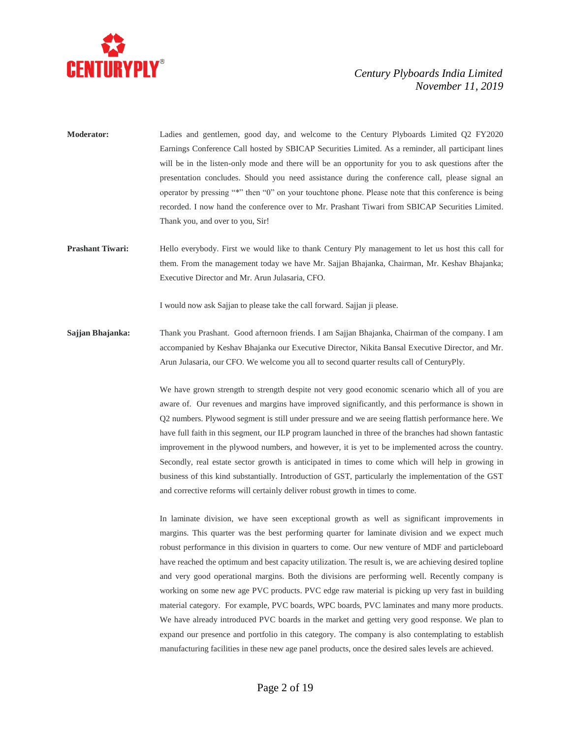

- **Moderator:** Ladies and gentlemen, good day, and welcome to the Century Plyboards Limited Q2 FY2020 Earnings Conference Call hosted by SBICAP Securities Limited. As a reminder, all participant lines will be in the listen-only mode and there will be an opportunity for you to ask questions after the presentation concludes. Should you need assistance during the conference call, please signal an operator by pressing "\*" then "0" on your touchtone phone. Please note that this conference is being recorded. I now hand the conference over to Mr. Prashant Tiwari from SBICAP Securities Limited. Thank you, and over to you, Sir!
- **Prashant Tiwari:** Hello everybody. First we would like to thank Century Ply management to let us host this call for them. From the management today we have Mr. Sajjan Bhajanka, Chairman, Mr. Keshav Bhajanka; Executive Director and Mr. Arun Julasaria, CFO.

I would now ask Sajjan to please take the call forward. Sajjan ji please.

**Sajjan Bhajanka:** Thank you Prashant. Good afternoon friends. I am Sajjan Bhajanka, Chairman of the company. I am accompanied by Keshav Bhajanka our Executive Director, Nikita Bansal Executive Director, and Mr. Arun Julasaria, our CFO. We welcome you all to second quarter results call of CenturyPly.

> We have grown strength to strength despite not very good economic scenario which all of you are aware of. Our revenues and margins have improved significantly, and this performance is shown in Q2 numbers. Plywood segment is still under pressure and we are seeing flattish performance here. We have full faith in this segment, our ILP program launched in three of the branches had shown fantastic improvement in the plywood numbers, and however, it is yet to be implemented across the country. Secondly, real estate sector growth is anticipated in times to come which will help in growing in business of this kind substantially. Introduction of GST, particularly the implementation of the GST and corrective reforms will certainly deliver robust growth in times to come.

> In laminate division, we have seen exceptional growth as well as significant improvements in margins. This quarter was the best performing quarter for laminate division and we expect much robust performance in this division in quarters to come. Our new venture of MDF and particleboard have reached the optimum and best capacity utilization. The result is, we are achieving desired topline and very good operational margins. Both the divisions are performing well. Recently company is working on some new age PVC products. PVC edge raw material is picking up very fast in building material category. For example, PVC boards, WPC boards, PVC laminates and many more products. We have already introduced PVC boards in the market and getting very good response. We plan to expand our presence and portfolio in this category. The company is also contemplating to establish manufacturing facilities in these new age panel products, once the desired sales levels are achieved.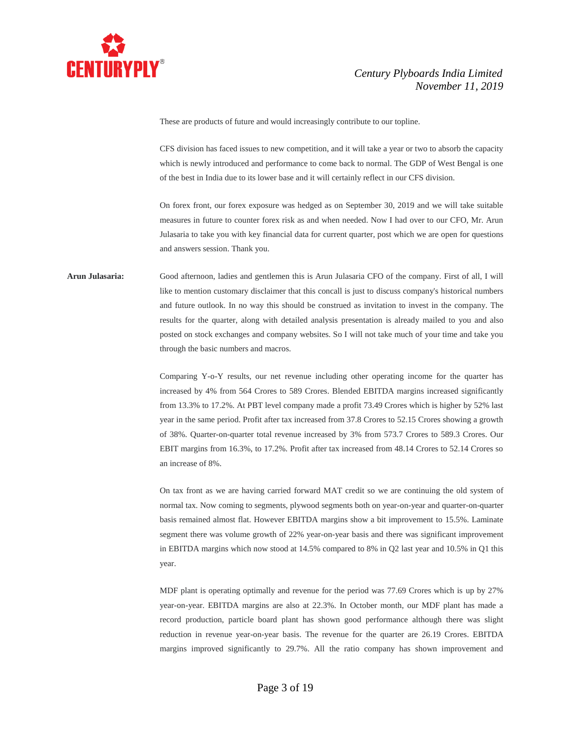

These are products of future and would increasingly contribute to our topline.

CFS division has faced issues to new competition, and it will take a year or two to absorb the capacity which is newly introduced and performance to come back to normal. The GDP of West Bengal is one of the best in India due to its lower base and it will certainly reflect in our CFS division.

On forex front, our forex exposure was hedged as on September 30, 2019 and we will take suitable measures in future to counter forex risk as and when needed. Now I had over to our CFO, Mr. Arun Julasaria to take you with key financial data for current quarter, post which we are open for questions and answers session. Thank you.

# **Arun Julasaria:** Good afternoon, ladies and gentlemen this is Arun Julasaria CFO of the company. First of all, I will like to mention customary disclaimer that this concall is just to discuss company's historical numbers and future outlook. In no way this should be construed as invitation to invest in the company. The results for the quarter, along with detailed analysis presentation is already mailed to you and also posted on stock exchanges and company websites. So I will not take much of your time and take you through the basic numbers and macros.

Comparing Y-o-Y results, our net revenue including other operating income for the quarter has increased by 4% from 564 Crores to 589 Crores. Blended EBITDA margins increased significantly from 13.3% to 17.2%. At PBT level company made a profit 73.49 Crores which is higher by 52% last year in the same period. Profit after tax increased from 37.8 Crores to 52.15 Crores showing a growth of 38%. Quarter-on-quarter total revenue increased by 3% from 573.7 Crores to 589.3 Crores. Our EBIT margins from 16.3%, to 17.2%. Profit after tax increased from 48.14 Crores to 52.14 Crores so an increase of 8%.

On tax front as we are having carried forward MAT credit so we are continuing the old system of normal tax. Now coming to segments, plywood segments both on year-on-year and quarter-on-quarter basis remained almost flat. However EBITDA margins show a bit improvement to 15.5%. Laminate segment there was volume growth of 22% year-on-year basis and there was significant improvement in EBITDA margins which now stood at 14.5% compared to 8% in Q2 last year and 10.5% in Q1 this year.

MDF plant is operating optimally and revenue for the period was 77.69 Crores which is up by 27% year-on-year. EBITDA margins are also at 22.3%. In October month, our MDF plant has made a record production, particle board plant has shown good performance although there was slight reduction in revenue year-on-year basis. The revenue for the quarter are 26.19 Crores. EBITDA margins improved significantly to 29.7%. All the ratio company has shown improvement and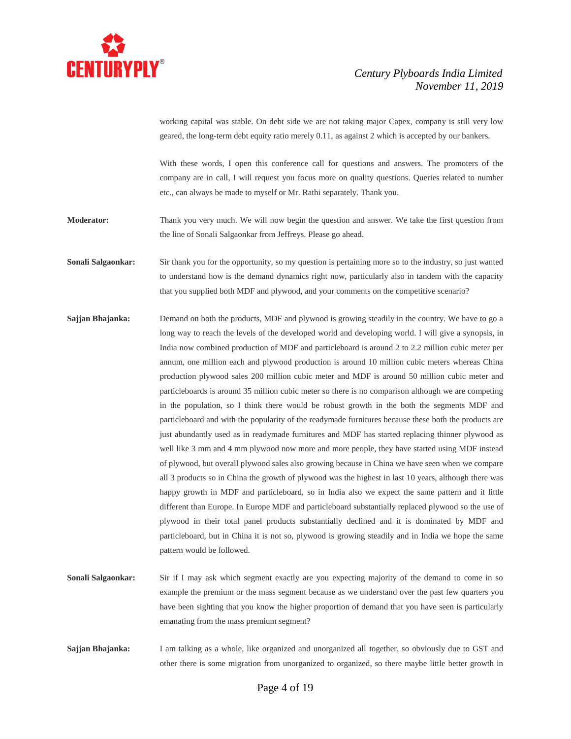

working capital was stable. On debt side we are not taking major Capex, company is still very low geared, the long-term debt equity ratio merely 0.11, as against 2 which is accepted by our bankers.

With these words, I open this conference call for questions and answers. The promoters of the company are in call, I will request you focus more on quality questions. Queries related to number etc., can always be made to myself or Mr. Rathi separately. Thank you.

**Moderator:** Thank you very much. We will now begin the question and answer. We take the first question from the line of Sonali Salgaonkar from Jeffreys. Please go ahead.

**Sonali Salgaonkar:** Sir thank you for the opportunity, so my question is pertaining more so to the industry, so just wanted to understand how is the demand dynamics right now, particularly also in tandem with the capacity that you supplied both MDF and plywood, and your comments on the competitive scenario?

- **Sajjan Bhajanka:** Demand on both the products, MDF and plywood is growing steadily in the country. We have to go a long way to reach the levels of the developed world and developing world. I will give a synopsis, in India now combined production of MDF and particleboard is around 2 to 2.2 million cubic meter per annum, one million each and plywood production is around 10 million cubic meters whereas China production plywood sales 200 million cubic meter and MDF is around 50 million cubic meter and particleboards is around 35 million cubic meter so there is no comparison although we are competing in the population, so I think there would be robust growth in the both the segments MDF and particleboard and with the popularity of the readymade furnitures because these both the products are just abundantly used as in readymade furnitures and MDF has started replacing thinner plywood as well like 3 mm and 4 mm plywood now more and more people, they have started using MDF instead of plywood, but overall plywood sales also growing because in China we have seen when we compare all 3 products so in China the growth of plywood was the highest in last 10 years, although there was happy growth in MDF and particleboard, so in India also we expect the same pattern and it little different than Europe. In Europe MDF and particleboard substantially replaced plywood so the use of plywood in their total panel products substantially declined and it is dominated by MDF and particleboard, but in China it is not so, plywood is growing steadily and in India we hope the same pattern would be followed.
- **Sonali Salgaonkar:** Sir if I may ask which segment exactly are you expecting majority of the demand to come in so example the premium or the mass segment because as we understand over the past few quarters you have been sighting that you know the higher proportion of demand that you have seen is particularly emanating from the mass premium segment?
- **Sajjan Bhajanka:** I am talking as a whole, like organized and unorganized all together, so obviously due to GST and other there is some migration from unorganized to organized, so there maybe little better growth in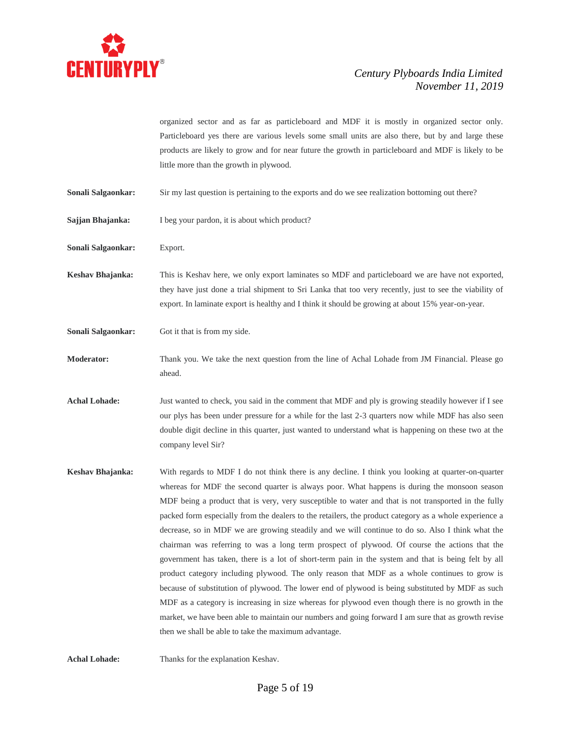

|                           | organized sector and as far as particleboard and MDF it is mostly in organized sector only.                                                                                                                                                                                                                     |
|---------------------------|-----------------------------------------------------------------------------------------------------------------------------------------------------------------------------------------------------------------------------------------------------------------------------------------------------------------|
|                           | Particleboard yes there are various levels some small units are also there, but by and large these                                                                                                                                                                                                              |
|                           | products are likely to grow and for near future the growth in particleboard and MDF is likely to be                                                                                                                                                                                                             |
|                           | little more than the growth in plywood.                                                                                                                                                                                                                                                                         |
| Sonali Salgaonkar:        | Sir my last question is pertaining to the exports and do we see realization bottoming out there?                                                                                                                                                                                                                |
| Sajjan Bhajanka:          | I beg your pardon, it is about which product?                                                                                                                                                                                                                                                                   |
| <b>Sonali Salgaonkar:</b> | Export.                                                                                                                                                                                                                                                                                                         |
| Keshav Bhajanka:          | This is Keshav here, we only export laminates so MDF and particleboard we are have not exported,<br>they have just done a trial shipment to Sri Lanka that too very recently, just to see the viability of<br>export. In laminate export is healthy and I think it should be growing at about 15% year-on-year. |
| <b>Sonali Salgaonkar:</b> | Got it that is from my side.                                                                                                                                                                                                                                                                                    |
| Moderator:                | Thank you. We take the next question from the line of Achal Lohade from JM Financial. Please go<br>ahead.                                                                                                                                                                                                       |
| <b>Achal Lohade:</b>      | Just wanted to check, you said in the comment that MDF and ply is growing steadily however if I see                                                                                                                                                                                                             |
|                           | our plys has been under pressure for a while for the last 2-3 quarters now while MDF has also seen                                                                                                                                                                                                              |
|                           | double digit decline in this quarter, just wanted to understand what is happening on these two at the<br>company level Sir?                                                                                                                                                                                     |
| Keshav Bhajanka:          | With regards to MDF I do not think there is any decline. I think you looking at quarter-on-quarter                                                                                                                                                                                                              |
|                           | whereas for MDF the second quarter is always poor. What happens is during the monsoon season                                                                                                                                                                                                                    |
|                           | MDF being a product that is very, very susceptible to water and that is not transported in the fully                                                                                                                                                                                                            |
|                           | packed form especially from the dealers to the retailers, the product category as a whole experience a                                                                                                                                                                                                          |
|                           | decrease, so in MDF we are growing steadily and we will continue to do so. Also I think what the                                                                                                                                                                                                                |
|                           | chairman was referring to was a long term prospect of plywood. Of course the actions that the                                                                                                                                                                                                                   |
|                           | government has taken, there is a lot of short-term pain in the system and that is being felt by all                                                                                                                                                                                                             |
|                           | product category including plywood. The only reason that MDF as a whole continues to grow is                                                                                                                                                                                                                    |
|                           | because of substitution of plywood. The lower end of plywood is being substituted by MDF as such                                                                                                                                                                                                                |
|                           | MDF as a category is increasing in size whereas for plywood even though there is no growth in the                                                                                                                                                                                                               |
|                           | market, we have been able to maintain our numbers and going forward I am sure that as growth revise<br>then we shall be able to take the maximum advantage.                                                                                                                                                     |
|                           |                                                                                                                                                                                                                                                                                                                 |

**Achal Lohade:** Thanks for the explanation Keshav.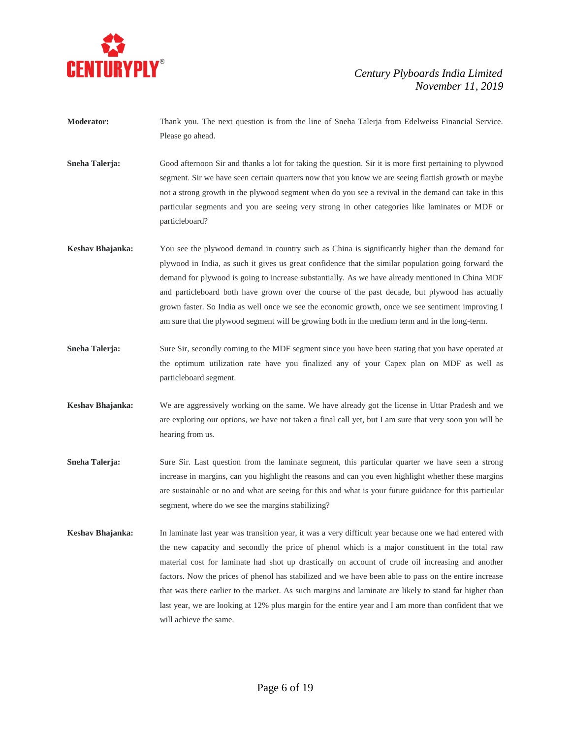

- **Moderator:** Thank you. The next question is from the line of Sneha Talerja from Edelweiss Financial Service. Please go ahead.
- **Sneha Talerja:** Good afternoon Sir and thanks a lot for taking the question. Sir it is more first pertaining to plywood segment. Sir we have seen certain quarters now that you know we are seeing flattish growth or maybe not a strong growth in the plywood segment when do you see a revival in the demand can take in this particular segments and you are seeing very strong in other categories like laminates or MDF or particleboard?
- **Keshav Bhajanka:** You see the plywood demand in country such as China is significantly higher than the demand for plywood in India, as such it gives us great confidence that the similar population going forward the demand for plywood is going to increase substantially. As we have already mentioned in China MDF and particleboard both have grown over the course of the past decade, but plywood has actually grown faster. So India as well once we see the economic growth, once we see sentiment improving I am sure that the plywood segment will be growing both in the medium term and in the long-term.
- **Sneha Talerja:** Sure Sir, secondly coming to the MDF segment since you have been stating that you have operated at the optimum utilization rate have you finalized any of your Capex plan on MDF as well as particleboard segment.
- **Keshav Bhajanka:** We are aggressively working on the same. We have already got the license in Uttar Pradesh and we are exploring our options, we have not taken a final call yet, but I am sure that very soon you will be hearing from us.
- **Sneha Talerja:** Sure Sir. Last question from the laminate segment, this particular quarter we have seen a strong increase in margins, can you highlight the reasons and can you even highlight whether these margins are sustainable or no and what are seeing for this and what is your future guidance for this particular segment, where do we see the margins stabilizing?
- **Keshav Bhajanka:** In laminate last year was transition year, it was a very difficult year because one we had entered with the new capacity and secondly the price of phenol which is a major constituent in the total raw material cost for laminate had shot up drastically on account of crude oil increasing and another factors. Now the prices of phenol has stabilized and we have been able to pass on the entire increase that was there earlier to the market. As such margins and laminate are likely to stand far higher than last year, we are looking at 12% plus margin for the entire year and I am more than confident that we will achieve the same.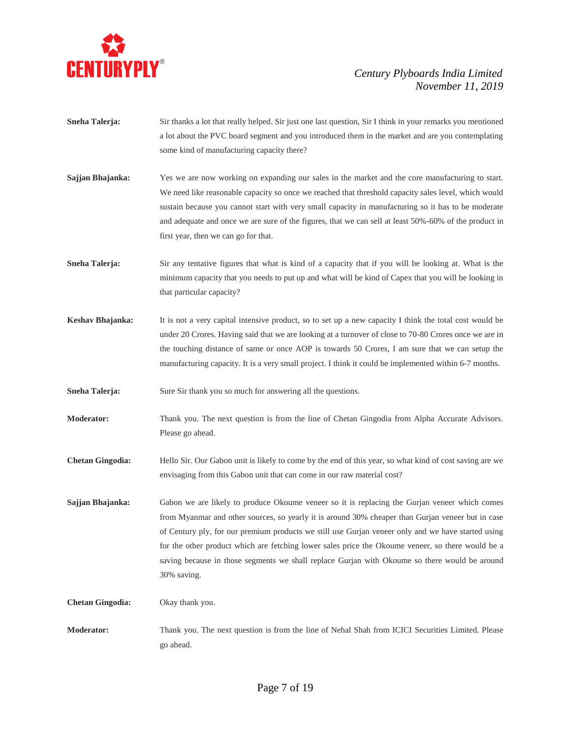

- **Sneha Talerja:** Sir thanks a lot that really helped. Sir just one last question, Sir I think in your remarks you mentioned a lot about the PVC board segment and you introduced them in the market and are you contemplating some kind of manufacturing capacity there?
- **Sajjan Bhajanka:** Yes we are now working on expanding our sales in the market and the core manufacturing to start. We need like reasonable capacity so once we reached that threshold capacity sales level, which would sustain because you cannot start with very small capacity in manufacturing so it has to be moderate and adequate and once we are sure of the figures, that we can sell at least 50%-60% of the product in first year, then we can go for that.
- **Sneha Talerja:** Sir any tentative figures that what is kind of a capacity that if you will be looking at. What is the minimum capacity that you needs to put up and what will be kind of Capex that you will be looking in that particular capacity?
- **Keshav Bhajanka:** It is not a very capital intensive product, so to set up a new capacity I think the total cost would be under 20 Crores. Having said that we are looking at a turnover of close to 70-80 Crores once we are in the touching distance of same or once AOP is towards 50 Crores, I am sure that we can setup the manufacturing capacity. It is a very small project. I think it could be implemented within 6-7 months.
- **Sneha Talerja:** Sure Sir thank you so much for answering all the questions.
- **Moderator:** Thank you. The next question is from the line of Chetan Gingodia from Alpha Accurate Advisors. Please go ahead.
- **Chetan Gingodia:** Hello Sir. Our Gabon unit is likely to come by the end of this year, so what kind of cost saving are we envisaging from this Gabon unit that can come in our raw material cost?
- **Sajjan Bhajanka:** Gabon we are likely to produce Okoume veneer so it is replacing the Gurjan veneer which comes from Myanmar and other sources, so yearly it is around 30% cheaper than Gurjan veneer but in case of Century ply, for our premium products we still use Gurjan veneer only and we have started using for the other product which are fetching lower sales price the Okoume veneer, so there would be a saving because in those segments we shall replace Gurjan with Okoume so there would be around 30% saving.

**Chetan Gingodia:** Okay thank you.

**Moderator:** Thank you. The next question is from the line of Nehal Shah from ICICI Securities Limited. Please go ahead.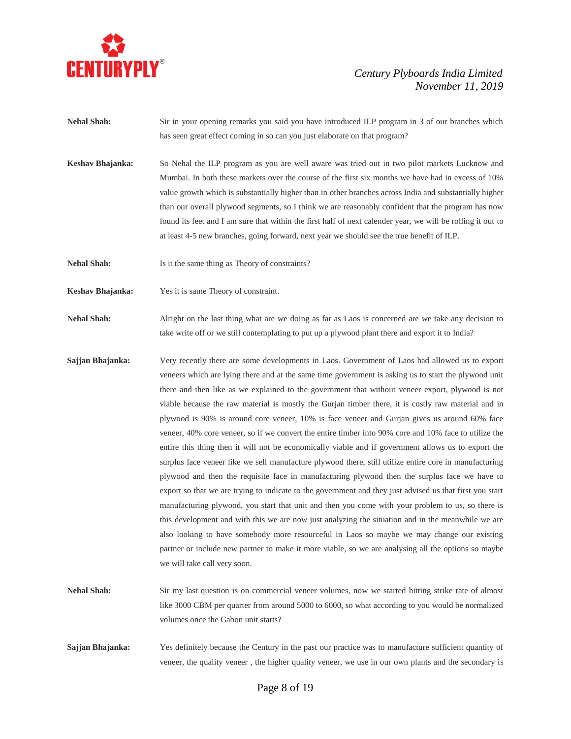

- **Nehal Shah:** Sir in your opening remarks you said you have introduced ILP program in 3 of our branches which has seen great effect coming in so can you just elaborate on that program?
- **Keshav Bhajanka:** So Nehal the ILP program as you are well aware was tried out in two pilot markets Lucknow and Mumbai. In both these markets over the course of the first six months we have had in excess of 10% value growth which is substantially higher than in other branches across India and substantially higher than our overall plywood segments, so I think we are reasonably confident that the program has now found its feet and I am sure that within the first half of next calender year, we will be rolling it out to at least 4-5 new branches, going forward, next year we should see the true benefit of ILP.
- **Nehal Shah:** Is it the same thing as Theory of constraints?
- **Keshav Bhajanka:** Yes it is same Theory of constraint.
- **Nehal Shah:** Alright on the last thing what are we doing as far as Laos is concerned are we take any decision to take write off or we still contemplating to put up a plywood plant there and export it to India?
- **Sajjan Bhajanka:** Very recently there are some developments in Laos. Government of Laos had allowed us to export veneers which are lying there and at the same time government is asking us to start the plywood unit there and then like as we explained to the government that without veneer export, plywood is not viable because the raw material is mostly the Gurjan timber there, it is costly raw material and in plywood is 90% is around core veneer, 10% is face veneer and Gurjan gives us around 60% face veneer, 40% core veneer, so if we convert the entire timber into 90% core and 10% face to utilize the entire this thing then it will not be economically viable and if government allows us to export the surplus face veneer like we sell manufacture plywood there, still utilize entire core in manufacturing plywood and then the requisite face in manufacturing plywood then the surplus face we have to export so that we are trying to indicate to the government and they just advised us that first you start manufacturing plywood, you start that unit and then you come with your problem to us, so there is this development and with this we are now just analyzing the situation and in the meanwhile we are also looking to have somebody more resourceful in Laos so maybe we may change our existing partner or include new partner to make it more viable, so we are analysing all the options so maybe we will take call very soon.
- **Nehal Shah:** Sir my last question is on commercial veneer volumes, now we started hitting strike rate of almost like 3000 CBM per quarter from around 5000 to 6000, so what according to you would be normalized volumes once the Gabon unit starts?
- **Sajjan Bhajanka:** Yes definitely because the Century in the past our practice was to manufacture sufficient quantity of veneer, the quality veneer , the higher quality veneer, we use in our own plants and the secondary is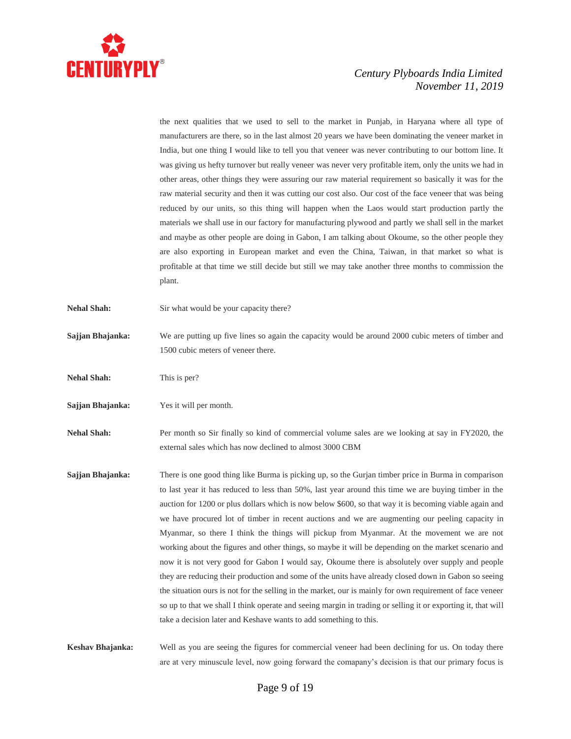

the next qualities that we used to sell to the market in Punjab, in Haryana where all type of manufacturers are there, so in the last almost 20 years we have been dominating the veneer market in India, but one thing I would like to tell you that veneer was never contributing to our bottom line. It was giving us hefty turnover but really veneer was never very profitable item, only the units we had in other areas, other things they were assuring our raw material requirement so basically it was for the raw material security and then it was cutting our cost also. Our cost of the face veneer that was being reduced by our units, so this thing will happen when the Laos would start production partly the materials we shall use in our factory for manufacturing plywood and partly we shall sell in the market and maybe as other people are doing in Gabon, I am talking about Okoume, so the other people they are also exporting in European market and even the China, Taiwan, in that market so what is profitable at that time we still decide but still we may take another three months to commission the plant. **Nehal Shah:** Sir what would be your capacity there? **Sajjan Bhajanka:** We are putting up five lines so again the capacity would be around 2000 cubic meters of timber and 1500 cubic meters of veneer there. **Nehal Shah:** This is per? **Sajjan Bhajanka:** Yes it will per month. **Nehal Shah:** Per month so Sir finally so kind of commercial volume sales are we looking at say in FY2020, the external sales which has now declined to almost 3000 CBM **Sajjan Bhajanka:** There is one good thing like Burma is picking up, so the Gurjan timber price in Burma in comparison to last year it has reduced to less than 50%, last year around this time we are buying timber in the auction for 1200 or plus dollars which is now below \$600, so that way it is becoming viable again and we have procured lot of timber in recent auctions and we are augmenting our peeling capacity in Myanmar, so there I think the things will pickup from Myanmar. At the movement we are not working about the figures and other things, so maybe it will be depending on the market scenario and now it is not very good for Gabon I would say, Okoume there is absolutely over supply and people they are reducing their production and some of the units have already closed down in Gabon so seeing the situation ours is not for the selling in the market, our is mainly for own requirement of face veneer so up to that we shall I think operate and seeing margin in trading or selling it or exporting it, that will take a decision later and Keshave wants to add something to this. **Keshav Bhajanka:** Well as you are seeing the figures for commercial veneer had been declining for us. On today there are at very minuscule level, now going forward the comapany's decision is that our primary focus is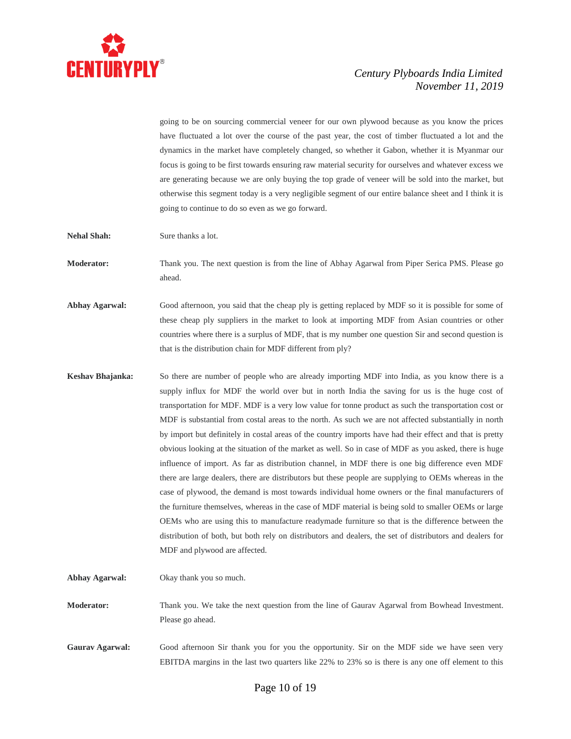

going to be on sourcing commercial veneer for our own plywood because as you know the prices have fluctuated a lot over the course of the past year, the cost of timber fluctuated a lot and the dynamics in the market have completely changed, so whether it Gabon, whether it is Myanmar our focus is going to be first towards ensuring raw material security for ourselves and whatever excess we are generating because we are only buying the top grade of veneer will be sold into the market, but otherwise this segment today is a very negligible segment of our entire balance sheet and I think it is going to continue to do so even as we go forward.

**Nehal Shah:** Sure thanks a lot.

**Moderator:** Thank you. The next question is from the line of Abhay Agarwal from Piper Serica PMS. Please go ahead.

Abhay Agarwal: Good afternoon, you said that the cheap ply is getting replaced by MDF so it is possible for some of these cheap ply suppliers in the market to look at importing MDF from Asian countries or other countries where there is a surplus of MDF, that is my number one question Sir and second question is that is the distribution chain for MDF different from ply?

**Keshav Bhajanka:** So there are number of people who are already importing MDF into India, as you know there is a supply influx for MDF the world over but in north India the saving for us is the huge cost of transportation for MDF. MDF is a very low value for tonne product as such the transportation cost or MDF is substantial from costal areas to the north. As such we are not affected substantially in north by import but definitely in costal areas of the country imports have had their effect and that is pretty obvious looking at the situation of the market as well. So in case of MDF as you asked, there is huge influence of import. As far as distribution channel, in MDF there is one big difference even MDF there are large dealers, there are distributors but these people are supplying to OEMs whereas in the case of plywood, the demand is most towards individual home owners or the final manufacturers of the furniture themselves, whereas in the case of MDF material is being sold to smaller OEMs or large OEMs who are using this to manufacture readymade furniture so that is the difference between the distribution of both, but both rely on distributors and dealers, the set of distributors and dealers for MDF and plywood are affected.

**Abhay Agarwal:** Okay thank you so much.

**Moderator:** Thank you. We take the next question from the line of Gaurav Agarwal from Bowhead Investment. Please go ahead.

Gaurav Agarwal: Good afternoon Sir thank you for you the opportunity. Sir on the MDF side we have seen very EBITDA margins in the last two quarters like 22% to 23% so is there is any one off element to this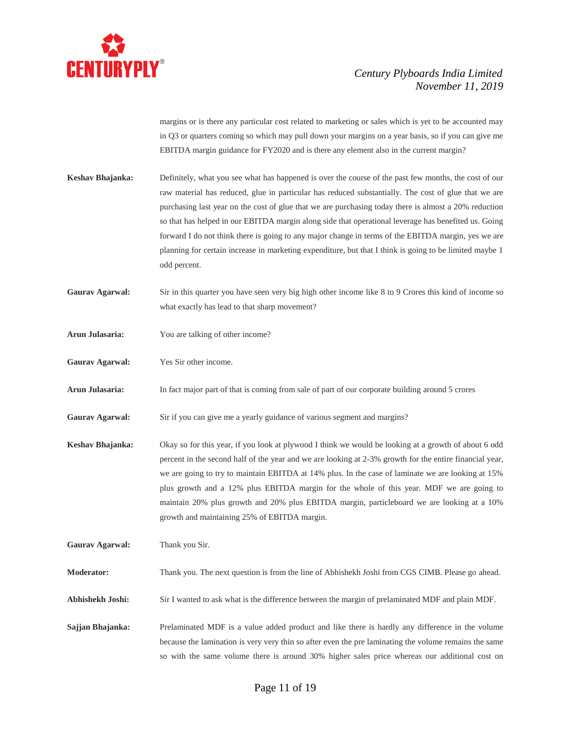

margins or is there any particular cost related to marketing or sales which is yet to be accounted may in Q3 or quarters coming so which may pull down your margins on a year basis, so if you can give me EBITDA margin guidance for FY2020 and is there any element also in the current margin?

- **Keshav Bhajanka:** Definitely, what you see what has happened is over the course of the past few months, the cost of our raw material has reduced, glue in particular has reduced substantially. The cost of glue that we are purchasing last year on the cost of glue that we are purchasing today there is almost a 20% reduction so that has helped in our EBITDA margin along side that operational leverage has benefited us. Going forward I do not think there is going to any major change in terms of the EBITDA margin, yes we are planning for certain increase in marketing expenditure, but that I think is going to be limited maybe 1 odd percent.
- Gaurav Agarwal: Sir in this quarter you have seen very big high other income like 8 to 9 Crores this kind of income so what exactly has lead to that sharp movement?
- **Arun Julasaria:** You are talking of other income?
- **Gaurav Agarwal:** Yes Sir other income.
- **Arun Julasaria:** In fact major part of that is coming from sale of part of our corporate building around 5 crores
- Gaurav Agarwal: Sir if you can give me a yearly guidance of various segment and margins?
- **Keshav Bhajanka:** Okay so for this year, if you look at plywood I think we would be looking at a growth of about 6 odd percent in the second half of the year and we are looking at 2-3% growth for the entire financial year, we are going to try to maintain EBITDA at 14% plus. In the case of laminate we are looking at 15% plus growth and a 12% plus EBITDA margin for the whole of this year. MDF we are going to maintain 20% plus growth and 20% plus EBITDA margin, particleboard we are looking at a 10% growth and maintaining 25% of EBITDA margin.

**Gaurav Agarwal:** Thank you Sir.

**Moderator:** Thank you. The next question is from the line of Abhishekh Joshi from CGS CIMB. Please go ahead.

**Abhishekh Joshi:** Sir I wanted to ask what is the difference between the margin of prelaminated MDF and plain MDF.

**Sajjan Bhajanka:** Prelaminated MDF is a value added product and like there is hardly any difference in the volume because the lamination is very very thin so after even the pre laminating the volume remains the same so with the same volume there is around 30% higher sales price whereas our additional cost on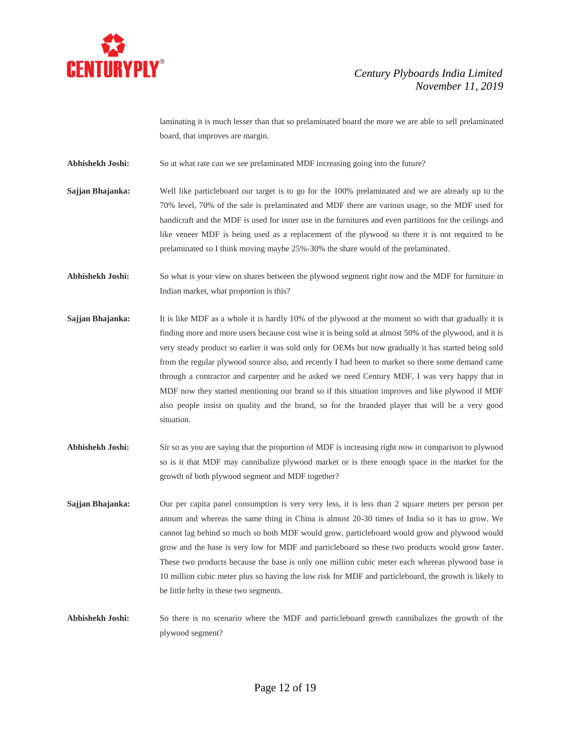

laminating it is much lesser than that so prelaminated board the more we are able to sell prelaminated board, that improves are margin.

**Abhishekh Joshi:** So at what rate can we see prelaminated MDF increasing going into the future?

- **Sajjan Bhajanka:** Well like particleboard our target is to go for the 100% prelaminated and we are already up to the 70% level, 70% of the sale is prelaminated and MDF there are various usage, so the MDF used for handicraft and the MDF is used for inner use in the furnitures and even partitions for the ceilings and like veneer MDF is being used as a replacement of the plywood so there it is not required to be prelaminated so I think moving maybe 25%-30% the share would of the prelaminated.
- **Abhishekh Joshi:** So what is your view on shares between the plywood segment right now and the MDF for furniture in Indian market, what proportion is this?
- **Sajjan Bhajanka:** It is like MDF as a whole it is hardly 10% of the plywood at the moment so with that gradually it is finding more and more users because cost wise it is being sold at almost 50% of the plywood, and it is very steady product so earlier it was sold only for OEMs but now gradually it has started being sold from the regular plywood source also, and recently I had been to market so there some demand came through a contractor and carpenter and he asked we need Century MDF, I was very happy that in MDF now they started mentioning our brand so if this situation improves and like plywood if MDF also people insist on quality and the brand, so for the branded player that will be a very good situation.
- Abhishekh Joshi: Sir so as you are saying that the proportion of MDF is increasing right now in comparison to plywood so is it that MDF may cannibalize plywood market or is there enough space in the market for the growth of both plywood segment and MDF together?
- **Sajjan Bhajanka:** Our per capita panel consumption is very very less, it is less than 2 square meters per person per annum and whereas the same thing in China is almost 20-30 times of India so it has to grow. We cannot lag behind so much so both MDF would grow, particleboard would grow and plywood would grow and the base is very low for MDF and particleboard so these two products would grow faster. These two products because the base is only one million cubic meter each whereas plywood base is 10 million cubic meter plus so having the low risk for MDF and particleboard, the growth is likely to be little hefty in these two segments.
- **Abhishekh Joshi:** So there is no scenario where the MDF and particleboard growth cannibalizes the growth of the plywood segment?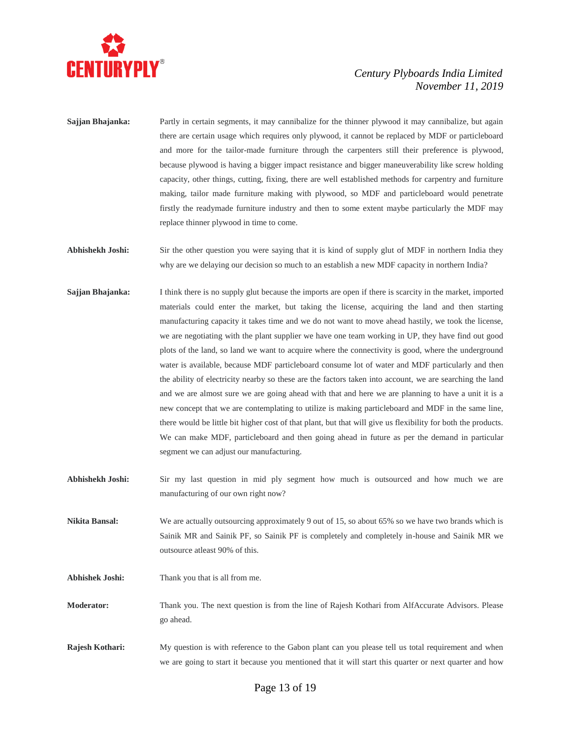

- **Sajjan Bhajanka:** Partly in certain segments, it may cannibalize for the thinner plywood it may cannibalize, but again there are certain usage which requires only plywood, it cannot be replaced by MDF or particleboard and more for the tailor-made furniture through the carpenters still their preference is plywood, because plywood is having a bigger impact resistance and bigger maneuverability like screw holding capacity, other things, cutting, fixing, there are well established methods for carpentry and furniture making, tailor made furniture making with plywood, so MDF and particleboard would penetrate firstly the readymade furniture industry and then to some extent maybe particularly the MDF may replace thinner plywood in time to come.
- **Abhishekh Joshi:** Sir the other question you were saying that it is kind of supply glut of MDF in northern India they why are we delaying our decision so much to an establish a new MDF capacity in northern India?
- **Sajjan Bhajanka:** I think there is no supply glut because the imports are open if there is scarcity in the market, imported materials could enter the market, but taking the license, acquiring the land and then starting manufacturing capacity it takes time and we do not want to move ahead hastily, we took the license, we are negotiating with the plant supplier we have one team working in UP, they have find out good plots of the land, so land we want to acquire where the connectivity is good, where the underground water is available, because MDF particleboard consume lot of water and MDF particularly and then the ability of electricity nearby so these are the factors taken into account, we are searching the land and we are almost sure we are going ahead with that and here we are planning to have a unit it is a new concept that we are contemplating to utilize is making particleboard and MDF in the same line, there would be little bit higher cost of that plant, but that will give us flexibility for both the products. We can make MDF, particleboard and then going ahead in future as per the demand in particular segment we can adjust our manufacturing.
- **Abhishekh Joshi:** Sir my last question in mid ply segment how much is outsourced and how much we are manufacturing of our own right now?
- **Nikita Bansal:** We are actually outsourcing approximately 9 out of 15, so about 65% so we have two brands which is Sainik MR and Sainik PF, so Sainik PF is completely and completely in-house and Sainik MR we outsource atleast 90% of this.
- **Abhishek Joshi:** Thank you that is all from me.
- **Moderator:** Thank you. The next question is from the line of Rajesh Kothari from AlfAccurate Advisors. Please go ahead.
- **Rajesh Kothari:** My question is with reference to the Gabon plant can you please tell us total requirement and when we are going to start it because you mentioned that it will start this quarter or next quarter and how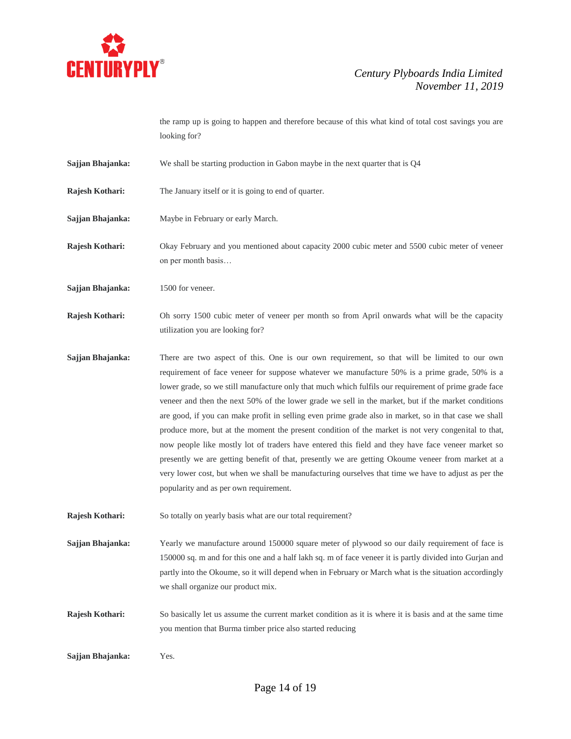

the ramp up is going to happen and therefore because of this what kind of total cost savings you are looking for?

- **Sajjan Bhajanka:** We shall be starting production in Gabon maybe in the next quarter that is Q4
- **Rajesh Kothari:** The January itself or it is going to end of quarter.
- **Sajjan Bhajanka:** Maybe in February or early March.

**Rajesh Kothari:** Okay February and you mentioned about capacity 2000 cubic meter and 5500 cubic meter of veneer on per month basis…

**Sajjan Bhajanka:** 1500 for veneer.

**Rajesh Kothari:** Oh sorry 1500 cubic meter of veneer per month so from April onwards what will be the capacity utilization you are looking for?

**Sajjan Bhajanka:** There are two aspect of this. One is our own requirement, so that will be limited to our own requirement of face veneer for suppose whatever we manufacture 50% is a prime grade, 50% is a lower grade, so we still manufacture only that much which fulfils our requirement of prime grade face veneer and then the next 50% of the lower grade we sell in the market, but if the market conditions are good, if you can make profit in selling even prime grade also in market, so in that case we shall produce more, but at the moment the present condition of the market is not very congenital to that, now people like mostly lot of traders have entered this field and they have face veneer market so presently we are getting benefit of that, presently we are getting Okoume veneer from market at a very lower cost, but when we shall be manufacturing ourselves that time we have to adjust as per the popularity and as per own requirement.

**Rajesh Kothari:** So totally on yearly basis what are our total requirement?

**Sajjan Bhajanka:** Yearly we manufacture around 150000 square meter of plywood so our daily requirement of face is 150000 sq. m and for this one and a half lakh sq. m of face veneer it is partly divided into Gurjan and partly into the Okoume, so it will depend when in February or March what is the situation accordingly we shall organize our product mix.

**Rajesh Kothari:** So basically let us assume the current market condition as it is where it is basis and at the same time you mention that Burma timber price also started reducing

**Sajjan Bhajanka:** Yes.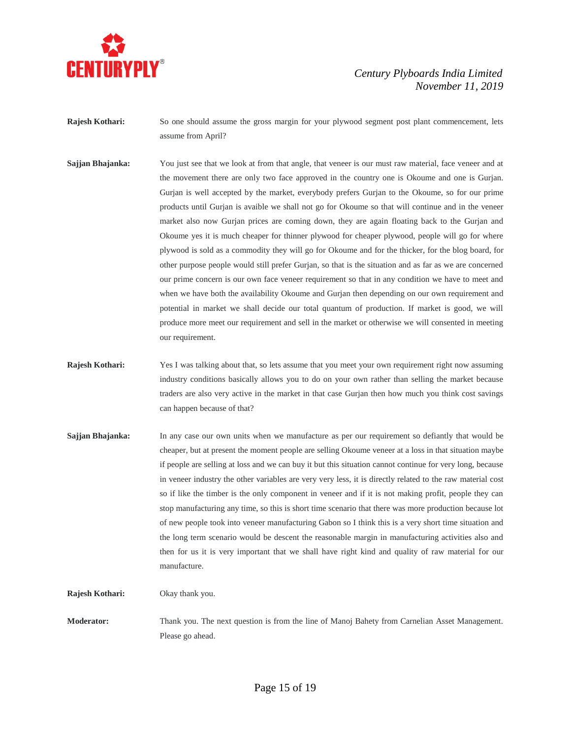

- **Rajesh Kothari:** So one should assume the gross margin for your plywood segment post plant commencement, lets assume from April?
- **Sajjan Bhajanka:** You just see that we look at from that angle, that veneer is our must raw material, face veneer and at the movement there are only two face approved in the country one is Okoume and one is Gurjan. Gurjan is well accepted by the market, everybody prefers Gurjan to the Okoume, so for our prime products until Gurjan is avaible we shall not go for Okoume so that will continue and in the veneer market also now Gurjan prices are coming down, they are again floating back to the Gurjan and Okoume yes it is much cheaper for thinner plywood for cheaper plywood, people will go for where plywood is sold as a commodity they will go for Okoume and for the thicker, for the blog board, for other purpose people would still prefer Gurjan, so that is the situation and as far as we are concerned our prime concern is our own face veneer requirement so that in any condition we have to meet and when we have both the availability Okoume and Gurjan then depending on our own requirement and potential in market we shall decide our total quantum of production. If market is good, we will produce more meet our requirement and sell in the market or otherwise we will consented in meeting our requirement.
- **Rajesh Kothari:** Yes I was talking about that, so lets assume that you meet your own requirement right now assuming industry conditions basically allows you to do on your own rather than selling the market because traders are also very active in the market in that case Gurjan then how much you think cost savings can happen because of that?
- **Sajjan Bhajanka:** In any case our own units when we manufacture as per our requirement so defiantly that would be cheaper, but at present the moment people are selling Okoume veneer at a loss in that situation maybe if people are selling at loss and we can buy it but this situation cannot continue for very long, because in veneer industry the other variables are very very less, it is directly related to the raw material cost so if like the timber is the only component in veneer and if it is not making profit, people they can stop manufacturing any time, so this is short time scenario that there was more production because lot of new people took into veneer manufacturing Gabon so I think this is a very short time situation and the long term scenario would be descent the reasonable margin in manufacturing activities also and then for us it is very important that we shall have right kind and quality of raw material for our manufacture.

**Rajesh Kothari:** Okay thank you.

**Moderator:** Thank you. The next question is from the line of Manoj Bahety from Carnelian Asset Management. Please go ahead.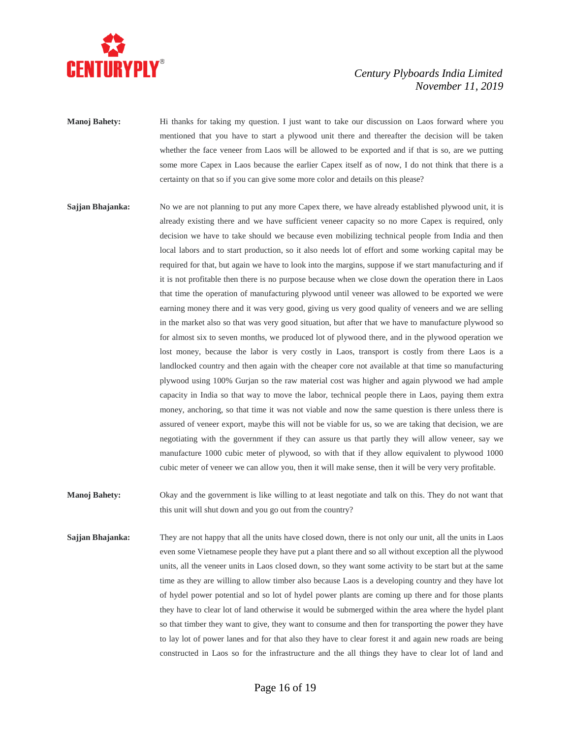

**Manoj Bahety:** Hi thanks for taking my question. I just want to take our discussion on Laos forward where you mentioned that you have to start a plywood unit there and thereafter the decision will be taken whether the face veneer from Laos will be allowed to be exported and if that is so, are we putting some more Capex in Laos because the earlier Capex itself as of now, I do not think that there is a certainty on that so if you can give some more color and details on this please?

- **Sajjan Bhajanka:** No we are not planning to put any more Capex there, we have already established plywood unit, it is already existing there and we have sufficient veneer capacity so no more Capex is required, only decision we have to take should we because even mobilizing technical people from India and then local labors and to start production, so it also needs lot of effort and some working capital may be required for that, but again we have to look into the margins, suppose if we start manufacturing and if it is not profitable then there is no purpose because when we close down the operation there in Laos that time the operation of manufacturing plywood until veneer was allowed to be exported we were earning money there and it was very good, giving us very good quality of veneers and we are selling in the market also so that was very good situation, but after that we have to manufacture plywood so for almost six to seven months, we produced lot of plywood there, and in the plywood operation we lost money, because the labor is very costly in Laos, transport is costly from there Laos is a landlocked country and then again with the cheaper core not available at that time so manufacturing plywood using 100% Gurjan so the raw material cost was higher and again plywood we had ample capacity in India so that way to move the labor, technical people there in Laos, paying them extra money, anchoring, so that time it was not viable and now the same question is there unless there is assured of veneer export, maybe this will not be viable for us, so we are taking that decision, we are negotiating with the government if they can assure us that partly they will allow veneer, say we manufacture 1000 cubic meter of plywood, so with that if they allow equivalent to plywood 1000 cubic meter of veneer we can allow you, then it will make sense, then it will be very very profitable.
- **Manoj Bahety:** Okay and the government is like willing to at least negotiate and talk on this. They do not want that this unit will shut down and you go out from the country?
- **Sajjan Bhajanka:** They are not happy that all the units have closed down, there is not only our unit, all the units in Laos even some Vietnamese people they have put a plant there and so all without exception all the plywood units, all the veneer units in Laos closed down, so they want some activity to be start but at the same time as they are willing to allow timber also because Laos is a developing country and they have lot of hydel power potential and so lot of hydel power plants are coming up there and for those plants they have to clear lot of land otherwise it would be submerged within the area where the hydel plant so that timber they want to give, they want to consume and then for transporting the power they have to lay lot of power lanes and for that also they have to clear forest it and again new roads are being constructed in Laos so for the infrastructure and the all things they have to clear lot of land and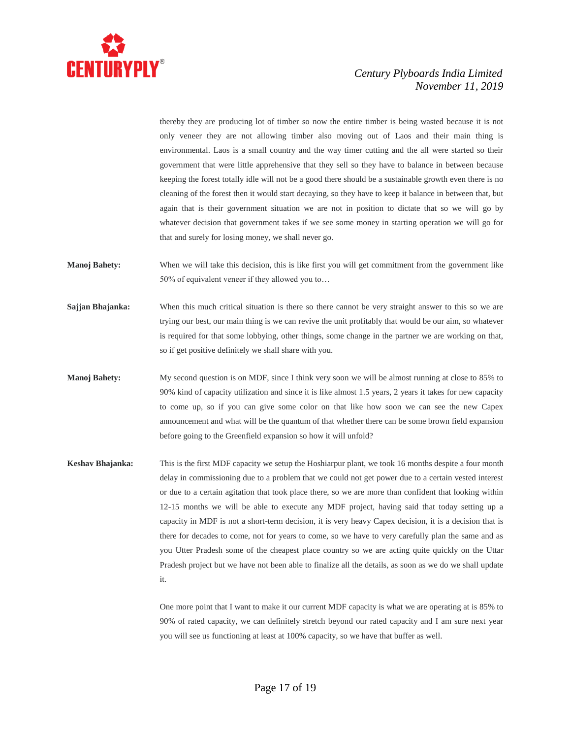

thereby they are producing lot of timber so now the entire timber is being wasted because it is not only veneer they are not allowing timber also moving out of Laos and their main thing is environmental. Laos is a small country and the way timer cutting and the all were started so their government that were little apprehensive that they sell so they have to balance in between because keeping the forest totally idle will not be a good there should be a sustainable growth even there is no cleaning of the forest then it would start decaying, so they have to keep it balance in between that, but again that is their government situation we are not in position to dictate that so we will go by whatever decision that government takes if we see some money in starting operation we will go for that and surely for losing money, we shall never go.

- **Manoj Bahety:** When we will take this decision, this is like first you will get commitment from the government like 50% of equivalent veneer if they allowed you to…
- **Sajjan Bhajanka:** When this much critical situation is there so there cannot be very straight answer to this so we are trying our best, our main thing is we can revive the unit profitably that would be our aim, so whatever is required for that some lobbying, other things, some change in the partner we are working on that, so if get positive definitely we shall share with you.
- **Manoj Bahety:** My second question is on MDF, since I think very soon we will be almost running at close to 85% to 90% kind of capacity utilization and since it is like almost 1.5 years, 2 years it takes for new capacity to come up, so if you can give some color on that like how soon we can see the new Capex announcement and what will be the quantum of that whether there can be some brown field expansion before going to the Greenfield expansion so how it will unfold?
- **Keshav Bhajanka:** This is the first MDF capacity we setup the Hoshiarpur plant, we took 16 months despite a four month delay in commissioning due to a problem that we could not get power due to a certain vested interest or due to a certain agitation that took place there, so we are more than confident that looking within 12-15 months we will be able to execute any MDF project, having said that today setting up a capacity in MDF is not a short-term decision, it is very heavy Capex decision, it is a decision that is there for decades to come, not for years to come, so we have to very carefully plan the same and as you Utter Pradesh some of the cheapest place country so we are acting quite quickly on the Uttar Pradesh project but we have not been able to finalize all the details, as soon as we do we shall update it.

One more point that I want to make it our current MDF capacity is what we are operating at is 85% to 90% of rated capacity, we can definitely stretch beyond our rated capacity and I am sure next year you will see us functioning at least at 100% capacity, so we have that buffer as well.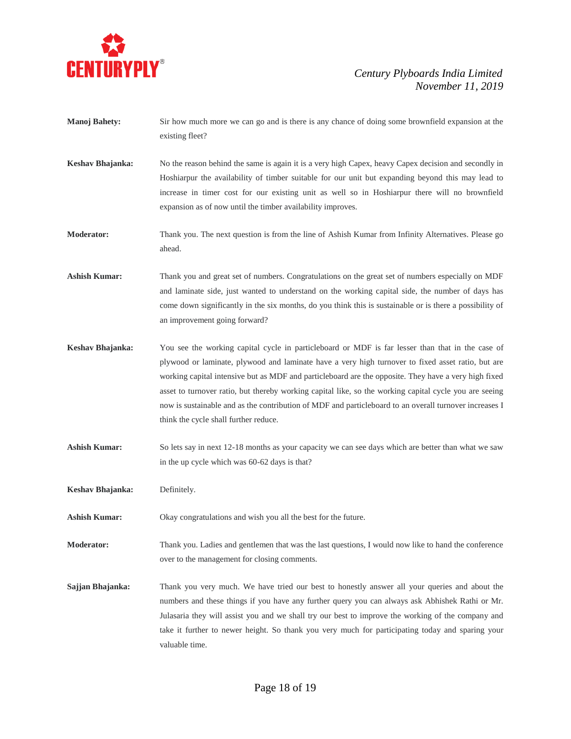

- **Manoj Bahety:** Sir how much more we can go and is there is any chance of doing some brownfield expansion at the existing fleet?
- **Keshav Bhajanka:** No the reason behind the same is again it is a very high Capex, heavy Capex decision and secondly in Hoshiarpur the availability of timber suitable for our unit but expanding beyond this may lead to increase in timer cost for our existing unit as well so in Hoshiarpur there will no brownfield expansion as of now until the timber availability improves.
- **Moderator:** Thank you. The next question is from the line of Ashish Kumar from Infinity Alternatives. Please go ahead.
- **Ashish Kumar:** Thank you and great set of numbers. Congratulations on the great set of numbers especially on MDF and laminate side, just wanted to understand on the working capital side, the number of days has come down significantly in the six months, do you think this is sustainable or is there a possibility of an improvement going forward?
- **Keshav Bhajanka:** You see the working capital cycle in particleboard or MDF is far lesser than that in the case of plywood or laminate, plywood and laminate have a very high turnover to fixed asset ratio, but are working capital intensive but as MDF and particleboard are the opposite. They have a very high fixed asset to turnover ratio, but thereby working capital like, so the working capital cycle you are seeing now is sustainable and as the contribution of MDF and particleboard to an overall turnover increases I think the cycle shall further reduce.
- **Ashish Kumar:** So lets say in next 12-18 months as your capacity we can see days which are better than what we saw in the up cycle which was 60-62 days is that?
- **Keshav Bhajanka:** Definitely.
- **Ashish Kumar:** Okay congratulations and wish you all the best for the future.
- **Moderator:** Thank you. Ladies and gentlemen that was the last questions, I would now like to hand the conference over to the management for closing comments.
- **Sajjan Bhajanka:** Thank you very much. We have tried our best to honestly answer all your queries and about the numbers and these things if you have any further query you can always ask Abhishek Rathi or Mr. Julasaria they will assist you and we shall try our best to improve the working of the company and take it further to newer height. So thank you very much for participating today and sparing your valuable time.